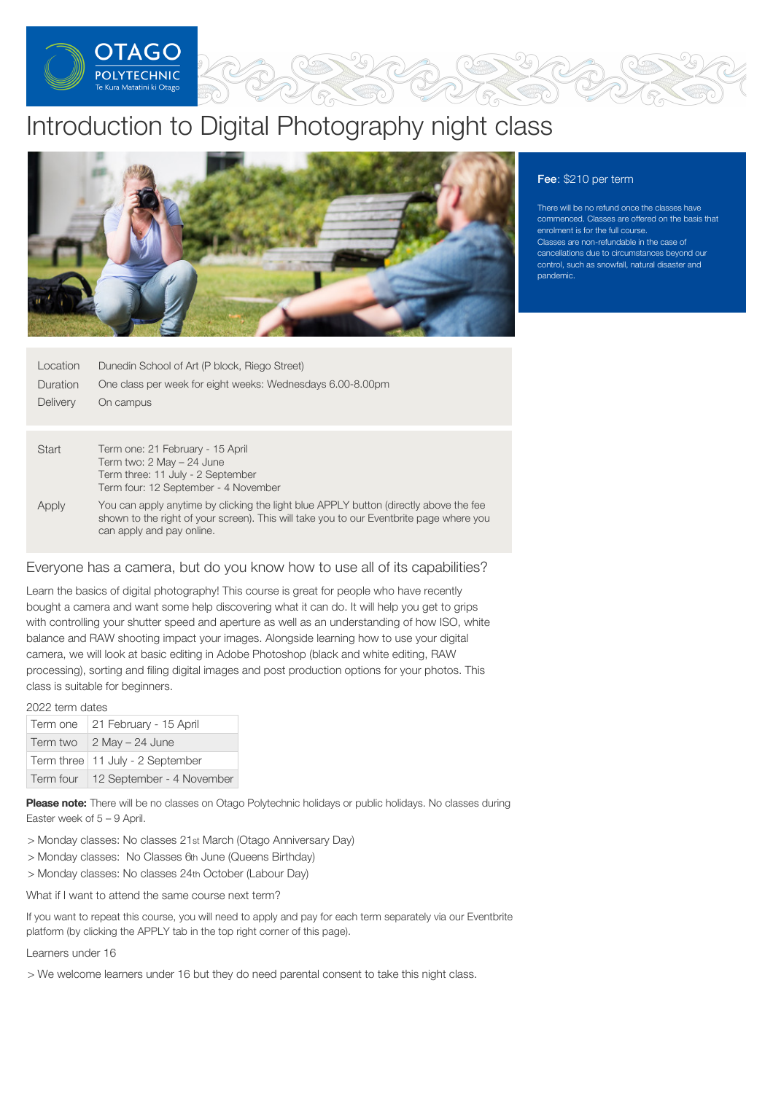

# Introduction to Digital Photography night class



# Fee: \$210 per term

There will be no refund once the classes have commenced. Classes are offered on the basis that enrolment is for the full course. Classes are non-refundable in the case of cancellations due to circumstances beyond our control, such as snowfall, natural disaster and pandemic.

| Location<br>Duration<br><b>Delivery</b> | Dunedin School of Art (P block, Riego Street)<br>One class per week for eight weeks: Wednesdays 6.00-8.00pm<br>On campus                                                                                      |
|-----------------------------------------|---------------------------------------------------------------------------------------------------------------------------------------------------------------------------------------------------------------|
|                                         |                                                                                                                                                                                                               |
| Start                                   | Term one: 21 February - 15 April<br>Term two: 2 May - 24 June                                                                                                                                                 |
|                                         | Term three: 11 July - 2 September                                                                                                                                                                             |
|                                         | Term four: 12 September - 4 November                                                                                                                                                                          |
| Apply                                   | You can apply anytime by clicking the light blue APPLY button (directly above the fee<br>shown to the right of your screen). This will take you to our Eventbrite page where you<br>can apply and pay online. |
|                                         |                                                                                                                                                                                                               |

# Everyone has a camera, but do you know how to use all of its capabilities?

Learn the basics of digital photography! This course is great for people who have recently bought a camera and want some help discovering what it can do. It will help you get to grips with controlling your shutter speed and aperture as well as an understanding of how ISO, white balance and RAW shooting impact your images. Alongside learning how to use your digital camera, we will look at basic editing in Adobe Photoshop (black and white editing, RAW processing), sorting and filing digital images and post production options for your photos. This class is suitable for beginners.

2022 term dates

| Term one | 21 February - 15 April              |
|----------|-------------------------------------|
| Term two | $2$ May $- 24$ June                 |
|          | Term three   11 July - 2 September  |
|          | Term four 12 September - 4 November |

Please note: There will be no classes on Otago Polytechnic holidays or public holidays. No classes during Easter week of 5 – 9 April.

- > Monday classes: No classes 21st March (Otago Anniversary Day)
- > Monday classes: No Classes 6th June (Queens Birthday)
- > Monday classes: No classes 24th October (Labour Day)

What if I want to attend the same course next term?

If you want to repeat this course, you will need to apply and pay for each term separately via our Eventbrite platform (by clicking the APPLY tab in the top right corner of this page).

Learners under 16

> We welcome learners under 16 but they do need parental consent to take this night class.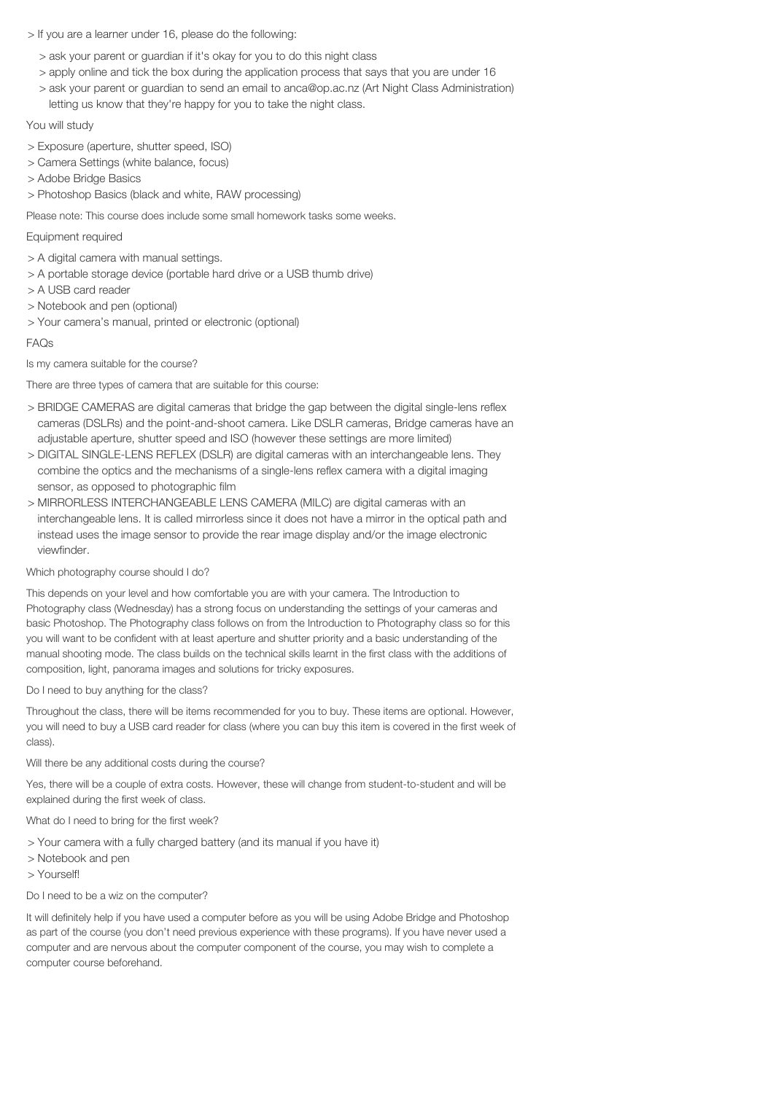## > If you are a learner under 16, please do the following:

- > ask your parent or guardian if it's okay for you to do this night class
- > apply online and tick the box during the application process that says that you are under 16
- > ask your parent or guardian to send an email to anca@op.ac.nz (Art Night Class Administration) letting us know that they're happy for you to take the night class.

## You will study

- > Exposure (aperture, shutter speed, ISO)
- > Camera Settings (white balance, focus)
- > Adobe Bridge Basics
- > Photoshop Basics (black and white, RAW processing)

Please note: This course does include some small homework tasks some weeks.

# Equipment required

- > A digital camera with manual settings.
- > A portable storage device (portable hard drive or a USB thumb drive)
- > A USB card reader
- > Notebook and pen (optional)
- > Your camera's manual, printed or electronic (optional)

# FAQs

Is my camera suitable for the course?

There are three types of camera that are suitable for this course:

- > BRIDGE CAMERAS are digital cameras that bridge the gap between the digital single-lens reflex cameras (DSLRs) and the point-and-shoot camera. Like DSLR cameras, Bridge cameras have an adjustable aperture, shutter speed and ISO (however these settings are more limited)
- > DIGITAL SINGLE-LENS REFLEX (DSLR) are digital cameras with an interchangeable lens. They combine the optics and the mechanisms of a single-lens reflex camera with a digital imaging sensor, as opposed to photographic film
- > MIRRORLESS INTERCHANGEABLE LENS CAMERA (MILC) are digital cameras with an interchangeable lens. It is called mirrorless since it does not have a mirror in the optical path and instead uses the image sensor to provide the rear image display and/or the image electronic viewfinder.

#### Which photography course should I do?

This depends on your level and how comfortable you are with your camera. The Introduction to Photography class (Wednesday) has a strong focus on understanding the settings of your cameras and basic Photoshop. The Photography class follows on from the Introduction to Photography class so for this you will want to be confident with at least aperture and shutter priority and a basic understanding of the manual shooting mode. The class builds on the technical skills learnt in the first class with the additions of composition, light, panorama images and solutions for tricky exposures.

#### Do I need to buy anything for the class?

Throughout the class, there will be items recommended for you to buy. These items are optional. However, you will need to buy a USB card reader for class (where you can buy this item is covered in the first week of class).

Will there be any additional costs during the course?

Yes, there will be a couple of extra costs. However, these will change from student-to-student and will be explained during the first week of class.

## What do I need to bring for the first week?

- > Your camera with a fully charged battery (and its manual if you have it)
- > Notebook and pen
- > Yourself!

#### Do I need to be a wiz on the computer?

It will definitely help if you have used a computer before as you will be using Adobe Bridge and Photoshop as part of the course (you don't need previous experience with these programs). If you have never used a computer and are nervous about the computer component of the course, you may wish to complete a computer course beforehand.